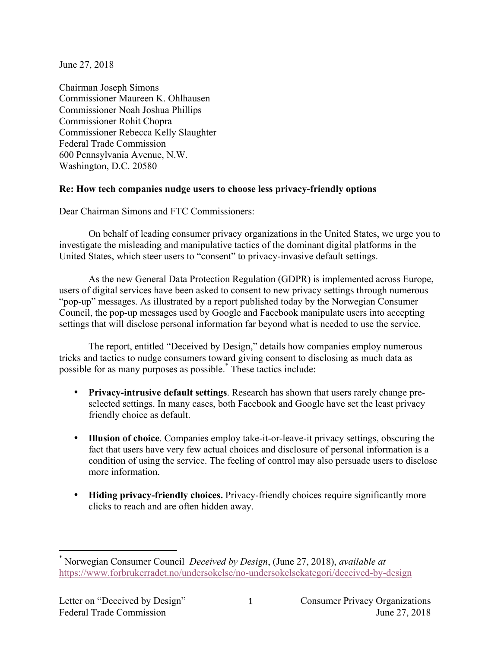June 27, 2018

Chairman Joseph Simons Commissioner Maureen K. Ohlhausen Commissioner Noah Joshua Phillips Commissioner Rohit Chopra Commissioner Rebecca Kelly Slaughter Federal Trade Commission 600 Pennsylvania Avenue, N.W. Washington, D.C. 20580

## **Re: How tech companies nudge users to choose less privacy-friendly options**

Dear Chairman Simons and FTC Commissioners:

On behalf of leading consumer privacy organizations in the United States, we urge you to investigate the misleading and manipulative tactics of the dominant digital platforms in the United States, which steer users to "consent" to privacy-invasive default settings.

As the new General Data Protection Regulation (GDPR) is implemented across Europe, users of digital services have been asked to consent to new privacy settings through numerous "pop-up" messages. As illustrated by a report published today by the Norwegian Consumer Council, the pop-up messages used by Google and Facebook manipulate users into accepting settings that will disclose personal information far beyond what is needed to use the service.

The report, entitled "Deceived by Design," details how companies employ numerous tricks and tactics to nudge consumers toward giving consent to disclosing as much data as possible for as many purposes as possible.\* These tactics include:

- **Privacy-intrusive default settings**. Research has shown that users rarely change preselected settings. In many cases, both Facebook and Google have set the least privacy friendly choice as default.
- **Illusion of choice**. Companies employ take-it-or-leave-it privacy settings, obscuring the fact that users have very few actual choices and disclosure of personal information is a condition of using the service. The feeling of control may also persuade users to disclose more information.
- **Hiding privacy-friendly choices.** Privacy-friendly choices require significantly more clicks to reach and are often hidden away.

 

<sup>\*</sup> Norwegian Consumer Council *Deceived by Design*, (June 27, 2018), *available at* https://www.forbrukerradet.no/undersokelse/no-undersokelsekategori/deceived-by-design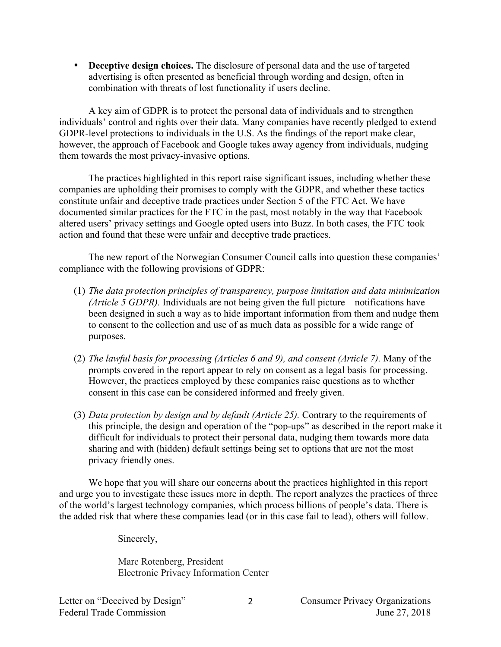• **Deceptive design choices.** The disclosure of personal data and the use of targeted advertising is often presented as beneficial through wording and design, often in combination with threats of lost functionality if users decline.

A key aim of GDPR is to protect the personal data of individuals and to strengthen individuals' control and rights over their data. Many companies have recently pledged to extend GDPR-level protections to individuals in the U.S. As the findings of the report make clear, however, the approach of Facebook and Google takes away agency from individuals, nudging them towards the most privacy-invasive options.

The practices highlighted in this report raise significant issues, including whether these companies are upholding their promises to comply with the GDPR, and whether these tactics constitute unfair and deceptive trade practices under Section 5 of the FTC Act. We have documented similar practices for the FTC in the past, most notably in the way that Facebook altered users' privacy settings and Google opted users into Buzz. In both cases, the FTC took action and found that these were unfair and deceptive trade practices.

The new report of the Norwegian Consumer Council calls into question these companies' compliance with the following provisions of GDPR:

- (1) *The data protection principles of transparency, purpose limitation and data minimization (Article 5 GDPR).* Individuals are not being given the full picture – notifications have been designed in such a way as to hide important information from them and nudge them to consent to the collection and use of as much data as possible for a wide range of purposes.
- (2) *The lawful basis for processing (Articles 6 and 9), and consent (Article 7).* Many of the prompts covered in the report appear to rely on consent as a legal basis for processing. However, the practices employed by these companies raise questions as to whether consent in this case can be considered informed and freely given.
- (3) *Data protection by design and by default (Article 25).* Contrary to the requirements of this principle, the design and operation of the "pop-ups" as described in the report make it difficult for individuals to protect their personal data, nudging them towards more data sharing and with (hidden) default settings being set to options that are not the most privacy friendly ones.

We hope that you will share our concerns about the practices highlighted in this report and urge you to investigate these issues more in depth. The report analyzes the practices of three of the world's largest technology companies, which process billions of people's data. There is the added risk that where these companies lead (or in this case fail to lead), others will follow.

Sincerely,

Marc Rotenberg, President Electronic Privacy Information Center

2